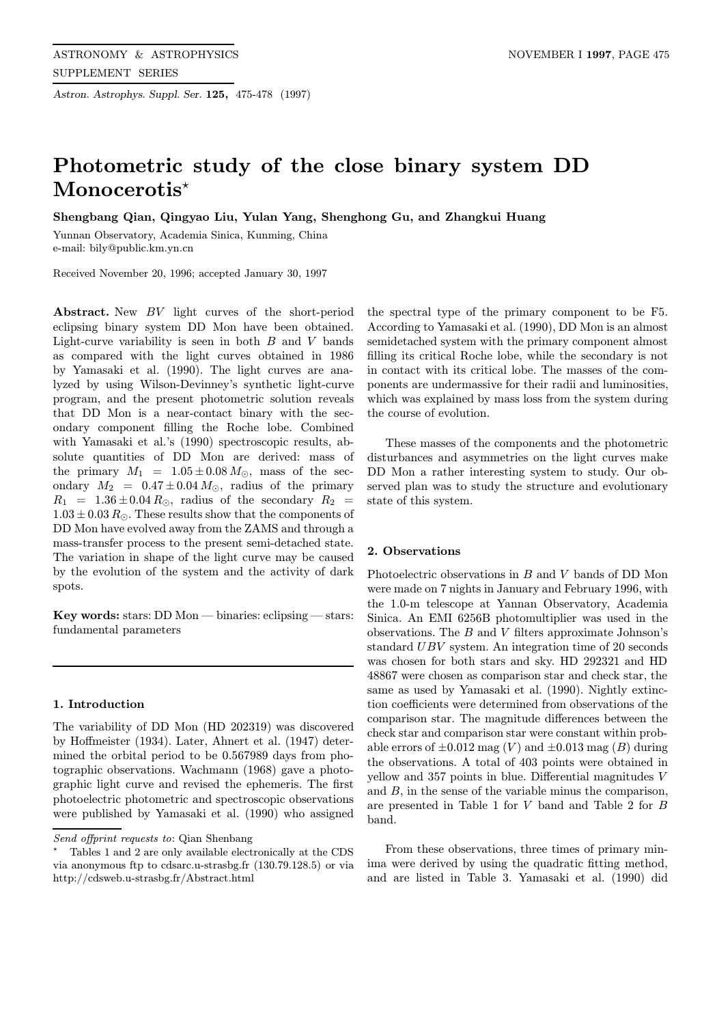Astron. Astrophys. Suppl. Ser. 125, 475-478 (1997)

# Photometric study of the close binary system DD Monocerotis<sup>\*</sup>

Shengbang Qian, Qingyao Liu, Yulan Yang, Shenghong Gu, and Zhangkui Huang

Yunnan Observatory, Academia Sinica, Kunming, China e-mail: bily@public.km.yn.cn

Received November 20, 1996; accepted January 30, 1997

Abstract. New BV light curves of the short-period eclipsing binary system DD Mon have been obtained. Light-curve variability is seen in both  $B$  and  $V$  bands as compared with the light curves obtained in 1986 by Yamasaki et al. (1990). The light curves are analyzed by using Wilson-Devinney's synthetic light-curve program, and the present photometric solution reveals that DD Mon is a near-contact binary with the secondary component filling the Roche lobe. Combined with Yamasaki et al.'s (1990) spectroscopic results, absolute quantities of DD Mon are derived: mass of the primary  $M_1 = 1.05 \pm 0.08 M_{\odot}$ , mass of the secondary  $M_2 = 0.47 \pm 0.04 M_{\odot}$ , radius of the primary  $R_1$  = 1.36  $\pm$  0.04  $R_{\odot}$ , radius of the secondary  $R_2$  =  $1.03 \pm 0.03$   $R_{\odot}$ . These results show that the components of DD Mon have evolved away from the ZAMS and through a mass-transfer process to the present semi-detached state. The variation in shape of the light curve may be caused by the evolution of the system and the activity of dark spots.

Key words: stars: DD Mon — binaries: eclipsing — stars: fundamental parameters

### 1. Introduction

The variability of DD Mon (HD 202319) was discovered by Hoffmeister (1934). Later, Ahnert et al. (1947) determined the orbital period to be 0.567989 days from photographic observations. Wachmann (1968) gave a photographic light curve and revised the ephemeris. The first photoelectric photometric and spectroscopic observations were published by Yamasaki et al. (1990) who assigned

the spectral type of the primary component to be F5. According to Yamasaki et al. (1990), DD Mon is an almost semidetached system with the primary component almost filling its critical Roche lobe, while the secondary is not in contact with its critical lobe. The masses of the components are undermassive for their radii and luminosities, which was explained by mass loss from the system during the course of evolution.

These masses of the components and the photometric disturbances and asymmetries on the light curves make DD Mon a rather interesting system to study. Our observed plan was to study the structure and evolutionary state of this system.

## 2. Observations

Photoelectric observations in  $B$  and  $V$  bands of DD Mon were made on 7 nights in January and February 1996, with the 1.0-m telescope at Yannan Observatory, Academia Sinica. An EMI 6256B photomultiplier was used in the observations. The  $B$  and  $V$  filters approximate Johnson's standard UBV system. An integration time of 20 seconds was chosen for both stars and sky. HD 292321 and HD 48867 were chosen as comparison star and check star, the same as used by Yamasaki et al. (1990). Nightly extinction coefficients were determined from observations of the comparison star. The magnitude differences between the check star and comparison star were constant within probable errors of  $\pm 0.012$  mag (V) and  $\pm 0.013$  mag (B) during the observations. A total of 403 points were obtained in yellow and 357 points in blue. Differential magnitudes V and B, in the sense of the variable minus the comparison, are presented in Table 1 for V band and Table 2 for B band.

From these observations, three times of primary minima were derived by using the quadratic fitting method, and are listed in Table 3. Yamasaki et al. (1990) did

Send offprint requests to: Qian Shenbang

<sup>?</sup> Tables 1 and 2 are only available electronically at the CDS via anonymous ftp to cdsarc.u-strasbg.fr (130.79.128.5) or via http://cdsweb.u-strasbg.fr/Abstract.html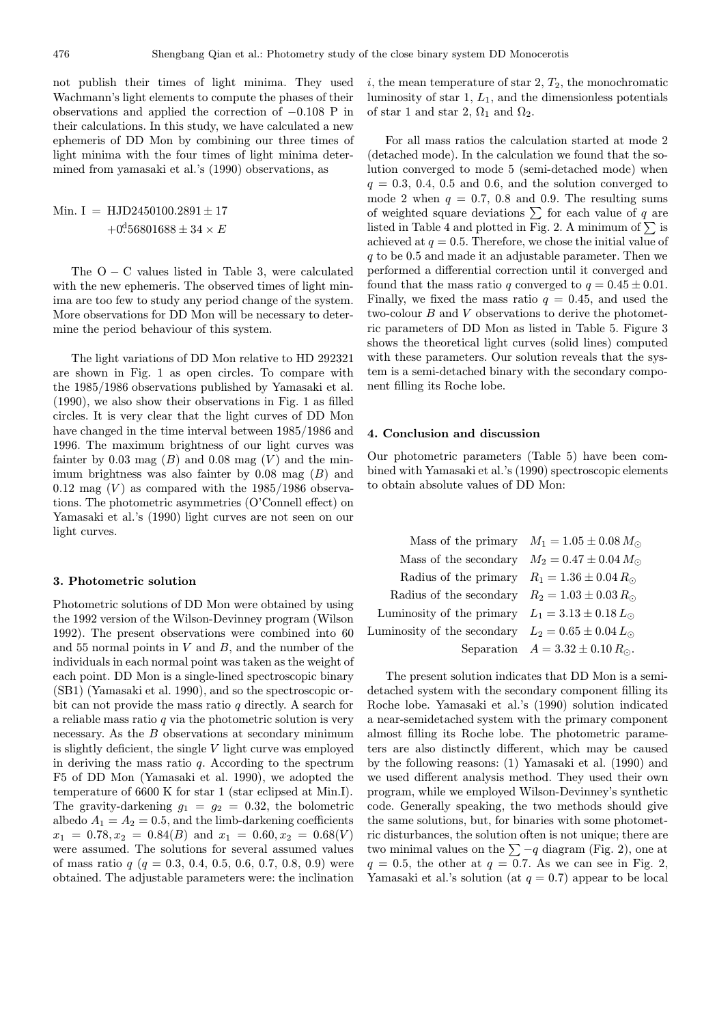not publish their times of light minima. They used Wachmann's light elements to compute the phases of their observations and applied the correction of −0.108 P in their calculations. In this study, we have calculated a new ephemeris of DD Mon by combining our three times of light minima with the four times of light minima determined from yamasaki et al.'s (1990) observations, as

Min. I = HJD2450100.2891 ± 17 +0. <sup>d</sup>56801688 ± 34 × E

The  $O - C$  values listed in Table 3, were calculated with the new ephemeris. The observed times of light minima are too few to study any period change of the system. More observations for DD Mon will be necessary to determine the period behaviour of this system.

The light variations of DD Mon relative to HD 292321 are shown in Fig. 1 as open circles. To compare with the 1985/1986 observations published by Yamasaki et al. (1990), we also show their observations in Fig. 1 as filled circles. It is very clear that the light curves of DD Mon have changed in the time interval between 1985/1986 and 1996. The maximum brightness of our light curves was fainter by 0.03 mag  $(B)$  and 0.08 mag  $(V)$  and the minimum brightness was also fainter by  $0.08$  mag  $(B)$  and 0.12 mag  $(V)$  as compared with the 1985/1986 observations. The photometric asymmetries (O'Connell effect) on Yamasaki et al.'s (1990) light curves are not seen on our light curves.

#### 3. Photometric solution

Photometric solutions of DD Mon were obtained by using the 1992 version of the Wilson-Devinney program (Wilson 1992). The present observations were combined into 60 and 55 normal points in  $V$  and  $B$ , and the number of the individuals in each normal point was taken as the weight of each point. DD Mon is a single-lined spectroscopic binary (SB1) (Yamasaki et al. 1990), and so the spectroscopic orbit can not provide the mass ratio  $q$  directly. A search for a reliable mass ratio  $q$  via the photometric solution is very necessary. As the B observations at secondary minimum is slightly deficient, the single  $V$  light curve was employed in deriving the mass ratio  $q$ . According to the spectrum F5 of DD Mon (Yamasaki et al. 1990), we adopted the temperature of 6600 K for star 1 (star eclipsed at Min.I). The gravity-darkening  $g_1 = g_2 = 0.32$ , the bolometric albedo  $A_1 = A_2 = 0.5$ , and the limb-darkening coefficients  $x_1 = 0.78, x_2 = 0.84(B)$  and  $x_1 = 0.60, x_2 = 0.68(V)$ were assumed. The solutions for several assumed values of mass ratio  $q$  ( $q = 0.3, 0.4, 0.5, 0.6, 0.7, 0.8, 0.9$ ) were obtained. The adjustable parameters were: the inclination i, the mean temperature of star  $2, T_2$ , the monochromatic luminosity of star  $1, L_1$ , and the dimensionless potentials of star 1 and star 2,  $\Omega_1$  and  $\Omega_2$ .

For all mass ratios the calculation started at mode 2 (detached mode). In the calculation we found that the solution converged to mode 5 (semi-detached mode) when  $q = 0.3, 0.4, 0.5$  and 0.6, and the solution converged to mode 2 when  $q = 0.7, 0.8$  and 0.9. The resulting sums of weighted square deviations  $\sum$  for each value of q are listed in Table 4 and plotted in Fig. 2. A minimum of  $\Sigma$  is achieved at  $q = 0.5$ . Therefore, we chose the initial value of  $q$  to be 0.5 and made it an adjustable parameter. Then we performed a differential correction until it converged and found that the mass ratio q converged to  $q = 0.45 \pm 0.01$ . Finally, we fixed the mass ratio  $q = 0.45$ , and used the two-colour B and V observations to derive the photometric parameters of DD Mon as listed in Table 5. Figure 3 shows the theoretical light curves (solid lines) computed with these parameters. Our solution reveals that the system is a semi-detached binary with the secondary component filling its Roche lobe.

### 4. Conclusion and discussion

Our photometric parameters (Table 5) have been combined with Yamasaki et al.'s (1990) spectroscopic elements to obtain absolute values of DD Mon:

|                                                             | Mass of the primary $M_1 = 1.05 \pm 0.08 M_{\odot}$ |
|-------------------------------------------------------------|-----------------------------------------------------|
| Mass of the secondary $M_2 = 0.47 \pm 0.04 M_{\odot}$       |                                                     |
| Radius of the primary $R_1 = 1.36 \pm 0.04 R_{\odot}$       |                                                     |
| Radius of the secondary $R_2 = 1.03 \pm 0.03 R_{\odot}$     |                                                     |
| Luminosity of the primary $L_1 = 3.13 \pm 0.18 L_{\odot}$   |                                                     |
| Luminosity of the secondary $L_2 = 0.65 \pm 0.04 L_{\odot}$ |                                                     |
|                                                             | Separation $A = 3.32 \pm 0.10 R_{\odot}$ .          |

The present solution indicates that DD Mon is a semidetached system with the secondary component filling its Roche lobe. Yamasaki et al.'s (1990) solution indicated a near-semidetached system with the primary component almost filling its Roche lobe. The photometric parameters are also distinctly different, which may be caused by the following reasons: (1) Yamasaki et al. (1990) and we used different analysis method. They used their own program, while we employed Wilson-Devinney's synthetic code. Generally speaking, the two methods should give the same solutions, but, for binaries with some photometric disturbances, the solution often is not unique; there are two minimal values on the  $\sum$  −q diagram (Fig. 2), one at  $q = 0.5$ , the other at  $q = 0.7$ . As we can see in Fig. 2, Yamasaki et al.'s solution (at  $q = 0.7$ ) appear to be local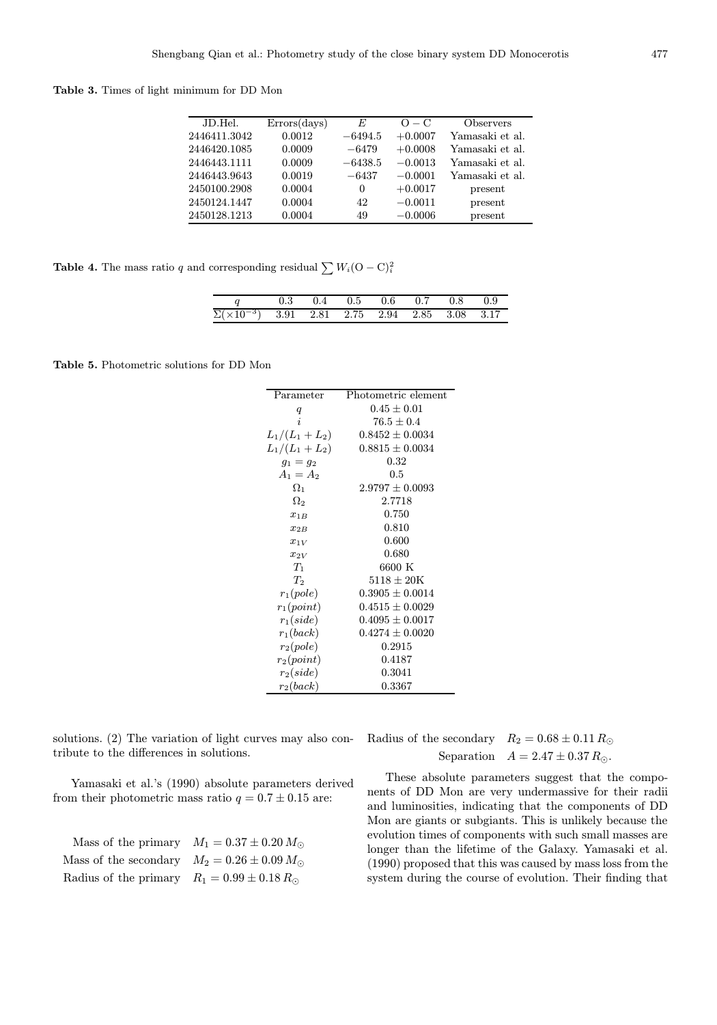Table 3. Times of light minimum for DD Mon

| JD.Hel.      | $\rm Errors(days)$ | E         | $O - C$   | <b>Observers</b> |
|--------------|--------------------|-----------|-----------|------------------|
| 2446411.3042 | 0.0012             | $-6494.5$ | $+0.0007$ | Yamasaki et al.  |
| 2446420.1085 | 0.0009             | $-6479$   | $+0.0008$ | Yamasaki et al.  |
| 2446443.1111 | 0.0009             | $-6438.5$ | $-0.0013$ | Yamasaki et al.  |
| 2446443.9643 | 0.0019             | $-6437$   | $-0.0001$ | Yamasaki et al.  |
| 2450100.2908 | 0.0004             | $\theta$  | $+0.0017$ | present          |
| 2450124.1447 | 0.0004             | 42        | $-0.0011$ | present          |
| 2450128.1213 | 0.0004             | 49        | $-0.0006$ | present          |

**Table 4.** The mass ratio q and corresponding residual  $\sum W_i(\mathbf{O} - \mathbf{C})_i^2$ 

|                                                             |  | $0.3$ $0.4$ $0.5$ $0.6$ $0.7$ $0.8$ $0.9$ |  |  |
|-------------------------------------------------------------|--|-------------------------------------------|--|--|
| $\Sigma(\times 10^{-3})$ 3.91 2.81 2.75 2.94 2.85 3.08 3.17 |  |                                           |  |  |

Table 5. Photometric solutions for DD Mon

| Parameter       | Photometric element      |
|-----------------|--------------------------|
| q               | $0.45\pm0.01$            |
| i               | $76.5 + 0.4$             |
| $L_1/(L_1+L_2)$ | $0.8452 \pm 0.0034$      |
| $L_1/(L_1+L_2)$ | $0.8815 \pm 0.0034$      |
| $g_1 = g_2$     | 0.32                     |
| $A_1 = A_2$     | 0.5                      |
| $\Omega_1$      | $2.9797 + 0.0093$        |
| $\Omega_2$      | 2.7718                   |
| $x_{1B}$        | 0.750                    |
| $x_{2B}$        | 0.810                    |
| $x_{1V}$        | 0.600                    |
| $x_{2V}$        | 0.680                    |
| $T_1$           | 6600 K                   |
| $T_2$           | $5118 \pm 20 \mathrm{K}$ |
| $r_1(pole)$     | $0.3905 \pm 0.0014$      |
| $r_1(point)$    | $0.4515 \pm 0.0029$      |
| $r_1(side)$     | $0.4095 \pm 0.0017$      |
| $r_1(back)$     | $0.4274 \pm 0.0020$      |
| $r_2(pole)$     | 0.2915                   |
| $r_2(point)$    | 0.4187                   |
| $r_2(side)$     | 0.3041                   |
| $r_2(back)$     | 0.3367                   |

solutions. (2) The variation of light curves may also contribute to the differences in solutions.

Radius of the secondary  $R_2 = 0.68 \pm 0.11 R_{\odot}$ Separation  $A = 2.47 \pm 0.37 R_{\odot}$ .

Yamasaki et al.'s (1990) absolute parameters derived from their photometric mass ratio  $q = 0.7 \pm 0.15$  are:

|                                                       | Mass of the primary $M_1 = 0.37 \pm 0.20 M_{\odot}$ |
|-------------------------------------------------------|-----------------------------------------------------|
| Mass of the secondary $M_2 = 0.26 \pm 0.09 M_{\odot}$ |                                                     |
| Radius of the primary $R_1 = 0.99 \pm 0.18 R_{\odot}$ |                                                     |

These absolute parameters suggest that the components of DD Mon are very undermassive for their radii and luminosities, indicating that the components of DD Mon are giants or subgiants. This is unlikely because the evolution times of components with such small masses are longer than the lifetime of the Galaxy. Yamasaki et al. (1990) proposed that this was caused by mass loss from the system during the course of evolution. Their finding that